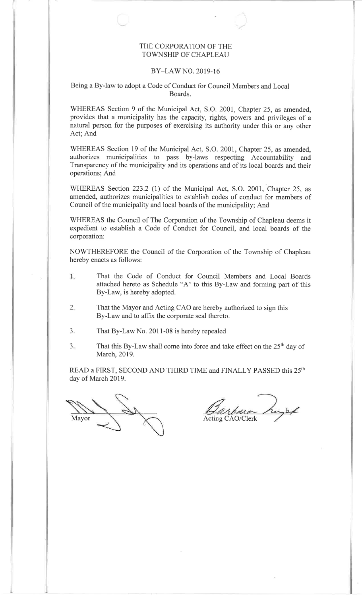#### THE CORPORATION OF THETOWNSHIP OF CHAPLEAU

#### BY-LAW NO. 2019-16

#### Being a By-law to adopt a Code of Conduct for Council Members and LocalBoards.

WHEREAS Section 9 of the Municipal Act, S.O. 200I, Chapter 25, as amended, provides that a municipality has the capacity, rights, powers and privileges of a natural person for the purposes of exercising its authority under this or any otherAct; And

WHEREAS Section 19 of the Municipal Act, S.O. 2001, Chapter 25, as amended, authorizes municipalities to pass by-laws respecting Accountability and Transparency of the municipality and its operations and of its local boards and theiroperations; And

WHEREAS Section 223.2 (1) of the Municipal Act, S.O. 2001, Chapter 25, as amended, authorizes municipalities to establish codes of conduct for members ofCouncil of the municipality and local boards of the municipality; And

WHEREAS the Council of The Corporation of the Township of Chapleau deems it expedient to establish a Code of Conduct for Council, and local boards of thecorporation:

NOWTHEREFORE the Council of the Corporation of the Township of Chapleauhereby enacts as follows:

- 1. That the Code of Conduct for Council Members and Local Boardsattached hereto as Schedule "A" to this By-Law and forming part of this By-Law, is hereby adopted.
- $2.$  That the Mayor and Acting CAO are hereby authorized to sign thisBy-Law and to affix the corporate seal thereto.
- 3. That By-Law No. 2011-08 is hereby repealed
- $3.$ That this By-Law shall come into force and take effect on the  $25<sup>th</sup>$  day of March, 2019.

READ a FIRST, SECOND AND THIRD TIME and FINALLY PASSED this 25<sup>th</sup> day of March 2019.

Mavorr Acting CAO/Clerk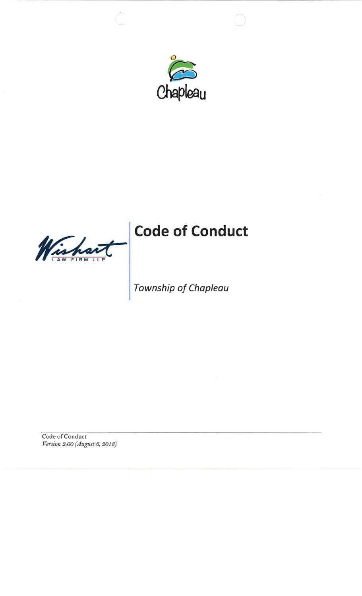

a LAW FIRM LLP

# Code of Conduct

## Township of Chapleau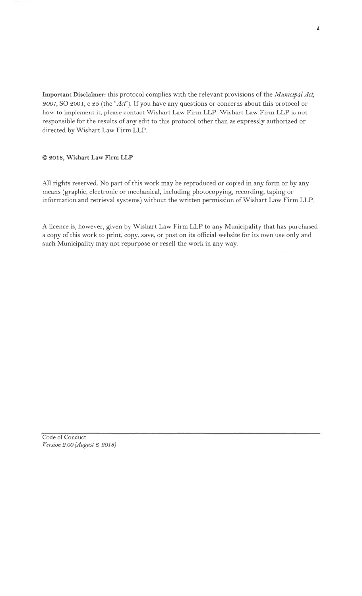Important Disclaimer: this protocol complies with the relevant provisions of the Municipal Act, 2001, SO 2001, c 25 (the "Act"). If you have any questions or concerns about this protocol or how to implement it, please contact Wishart Law Firm LLP. Wishart Law Firm LLP is not responsible for the results of any edit to this protocol other than as expressly authorized or directed by Wishart Law Firm LLP.

#### @ 9ot8, Wishart Law Firm LLP

AII rights reserved. No part of this work may be reproduced or copied in any form or by any means (graphic, electronic or mechanical, including photocopying, recording, taping or information and retrieval systems) without the written permission of Wishart Law Firm LLP

A licence is, however, given by Wishart Law Firm LLP to any Municipality that has purchased a copy of this work to print, copy, save, or post on its official website for its own use only and such Municipality may not repurpose or resell the work in any way.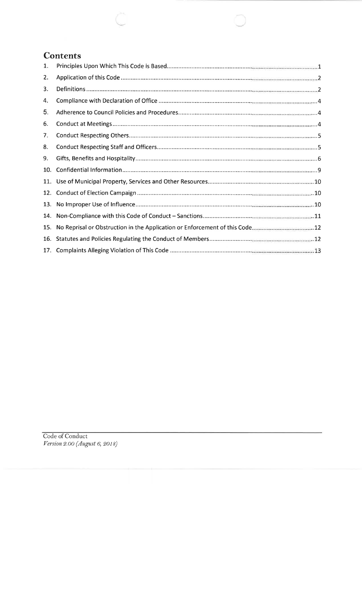#### **Contents**

| 1.  |  |
|-----|--|
| 2.  |  |
| 3.  |  |
| 4.  |  |
| 5.  |  |
| 6.  |  |
| 7.  |  |
| 8.  |  |
| 9.  |  |
| 10. |  |
|     |  |
| 12. |  |
| 13. |  |
| 14. |  |
| 15. |  |
| 16. |  |
|     |  |

Code of Conduct Version 2.oo (August 6,20ts)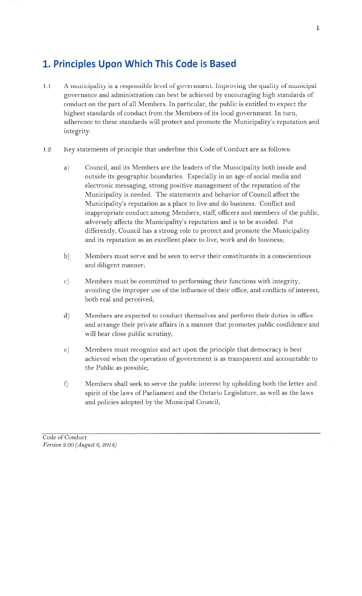## 1. Principles Upon Which This Code is Based

- 1.1 A municipality is a responsible level of government. Improving the quality of municipal governance and administration can best be achieved by encouraging high standards of conduct on the part of all Members. In particular, the public is entitled to expect the highest standards of conduct from the Members of its local government. In turn, adherence to these standards will protect and promote the Municipality's reputation and integrity.
- 1.2 Key statements of principle that underline this Code of Conduct are as follows:
	- a) Council, and its Members are the leaders of the Municipality both inside and outside its geographic boundaries. Especially in an age of social media and electronic messaging, strong positive management of the reputation of the Municipality is needed. The statements and behavior of Council affect the Municipality's reputation as a place to live and do business. Conflict and inappropriate conduct among Members, staff, officers and members of the public, adversely affects the Municipality's reputation and is to be avoided. Put differently, Council has a strong role to protect and promote the Municipality and its reputation as an excellent place to live, work and do business;
	- b) Members must serve and be seen to serve their constituents in a conscientious and diligent manner;
	- c) Members must be committed to performing their functions with integrity, avoiding the improper use of the influence of their office, and conflicts of interest, both real and perceived;
	- Members are expected to conduct themselves and perform their duties in office and arrange their private affairs in a manner that promotes public confidence and will bear close public scrutiny; d)
	- Members must recognize and act upon the principle that democracy is best achieved when the operation of government is as transparent and accountable to the Public as possible; e)
	- Members shall seek to serve the public interest by upholding both the letter and spirit of the laws of Parliament and the Ontario Legisiature, as well as the laws and policies adopted by the Municipal Council; f)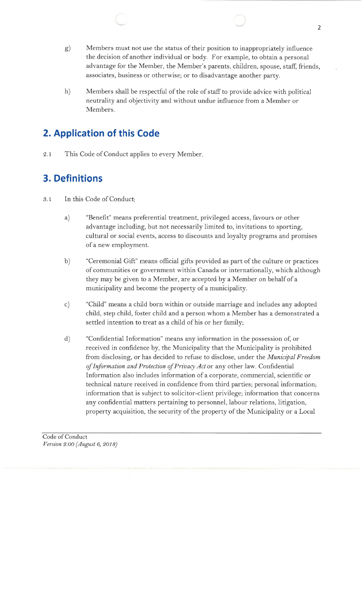- $\mathrm g)$ Members must not use the status of their position to inappropriately influence the decision of another individual or body. For example, to obtain a personal advantage for the Member, the Member's parents, children, spouse, staff, friends,associates, business or otherwise; or to disadvantage another party.
- Members shall be respectful of the role of staff to provide advice with political neutrality and objectivity and without undue influence from a Member orMembers.h)

## 2. Application of this Code

2.1 This Code of Conduct applies to every Member

## 3. Definitions

- 3.1 In this Code of Conduct
	- "Benefit" means preferential treatment, privileged access, favours or otheradvantage including, but not necessarily limited to, invitations to sporting,cultural or social events, access to discounts and loyalty programs and promisesof a new employment.a)
	- "Ceremonial Gift" means official gifts provided as part of the culture or practices of communities or government within Canada or internationally, which althoughthey may be given to a Member, are accepted by a Member on behalf of amunicipality and become the property of a municipality.b)
	- "Child" means a child born within or outside marriage and includes any adopted child, step child, foster child and a person whom a Member has a demonstrated asettled intention to treat as a child of his or her family;c)
	- "Confidential Information" means any information in the possession of, or received in confidence by, the Municipality that the Municipality is prohibitedfrom disclosing, or has decided to refuse to disclose, under the Municipal Freedom of Information and Protection of Privacy Act or any other law. Confidential Information also includes information of a corporate, commercial, scientific ortechnical nature received in confidence from third parties; personal information;information that is subject to solicitor-client privilege; information that concernsany confidential matters pertaining to personnel, labour relations, litigation,property acquisition, the security of the property of the Municipality or a Local d)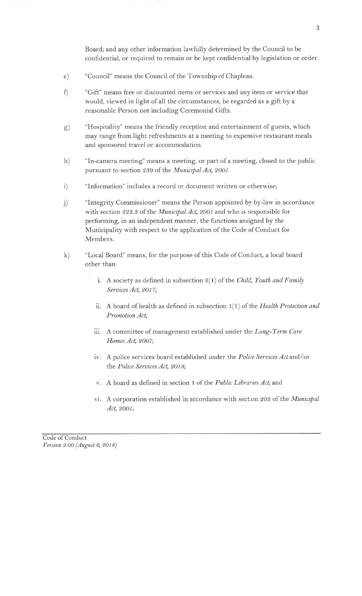Board; and any other information lawfully determined by the Council to be confidential, or required to remain or be kept confidential by legislation or order

- e) "Council" means the Council of the Township of Chapleau.
- f) "Gift" means free or discounted items or services and any item or service that would, viewed in light of all the circumstances, be regarded as a gift by a reasonable Person not including Ceremonial Gifts.
- $\mathrm{g}$ "Hospitality" means the friendly reception and entertainment of guests, which may range from light refreshments at a meeting to expensive restaurant meals and sponsored travel or accommodation.
- h) "In-camera meeting" means a meeting, or part of a meeting, closed to the public pursuant to section 239 of the Municipal Act, 2001.
- i) "Information" includes a record or document written or otherwise;
- j) "Integrity Commissioner" means the Person appointed by by-law in accordance with section 223.3 of the *Municipal Act*, 2001 and who is responsible for performing, in an independent manner, the functions assigned by the Municipality with respect to the application of the Code of Conduct for Members.
- k) "Local Board" means, for the purpose of this Code of Conduct, a local board other than:
	- i. A society as defined in subsection  $2(1)$  of the Child, Youth and Family Services Act, 2017;
	- ii. A board of health as defined in subsection  $1(1)$  of the *Health Protection and* Promotion Act;
	- iii. A committee of management established under the  $Long\text{-}\mathit{Term}$  Care Homes Act, 2007;
	- iv. A police services board established under the *Police Services Act* and/or the Police Services Act, 2018;
	- v. A board as defined in section 1 of the Public Libraries Act; and
	- vi. A corporation established in accordance with section 203 of the Municipal Act,2OOI;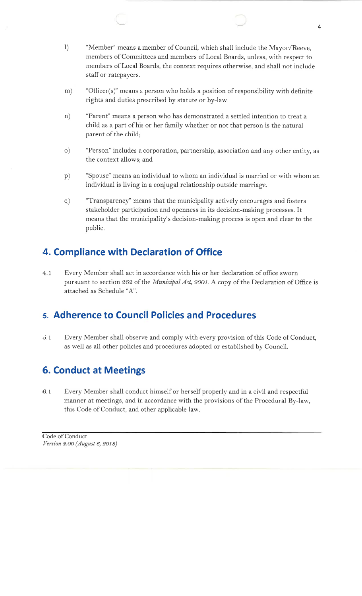- l) "Member" means a member of Council, which shall include the Mayor/Reeve,members of Committees and members of Local Boards, unless, with respect to members of Local Boards, the context requires otherwise, and shall not includestaffor ratepayers.
- m) "Officer(s)" means a person who holds a position of responsibility with definiterights and duties prescribed by statute or by-law.
- n) "Parent" means a person who has demonstrated a settled intention to treat a child as a part of his or her family whether or not that person is the naturalparent of the child;
- o) "Person" includes a corporation, partnership, association and any other entity, asthe context allows; and
- "Spouse" means an individual to whom an individual is married or with whom anindividual is living in a conjugal relationship outside marriage.p)
- "Transparency" means that the municipality actively encourages and fosters stakeholder participation and openness in its decision-making processes. Itmeans that the municipality's decision-making process is open and clear to thepublic.q)

#### 4. Compliance with Declaration of Office

Every Member shall act in accordance with his or her declaration of oflice swornpursuant to section 262 of the *Municipal Act, 2001*. A copy of the Declaration of Office is attached as Schedule "A".4.1

#### 5. Adherence to Council Policies and Procedures

5,7 Every Member shall observe and comply with every provision of this Code of Conduct, as well as all other policies and procedures adopted or established by Council.

#### 6. Conduct at Meetings

6.1 Every Member shall conduct himself or herself properly and in a civil and respectful manner at meetings, and in accordance with the provisions of the Procedural By-law,this Code of Conduct, and other applicable law.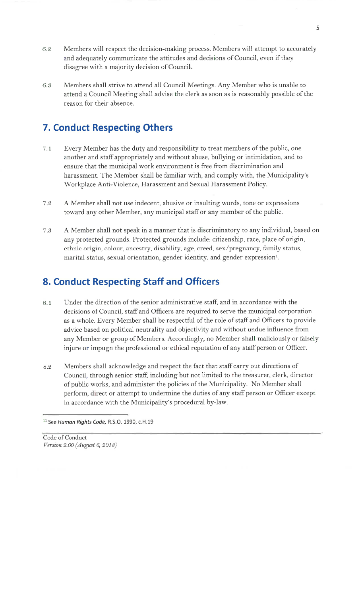- 6.2 Members will respect the decision-making process. Members will attempt to accurately and adequately communicate the attitudes and decisions of Council, even if they disagree with a majority decision of Council.
- 6.3 Members shall strive to attend all Council Meetings. Any Member who is unable to attend a Council Meeting shall advise the clerk as soon as is reasonably possible of the reason for their absence.

#### 7. Conduct Respecting Others

- 7.1 Every Member has the duty and responsibility to treat members of the public, one another and staffappropriately and without abuse, bullying or intimidation, and to ensure that the municipal work environment is free from discrimination and harassment. The Member shall be familiar with, and comply with, the Municipality's Workplace Anti-Violence, Harassment and Sexual Harassment Policy.
- 7.2 A Member shall not use indecent, abusive or insulting words, tone or expressions toward any other Member, any municipal staffor any member of the public.
- 7.3 A Member shall not speak in a manner that is discriminatory to any individual, based on any protected grounds. Protected grounds include: citizenship, race, place of origin, ethnic origin, colour, ancestry, disability, age, creed, sex/pregnancy, family status, marital status, sexual orientation, gender identity, and gender expression<sup>1</sup>.

#### 8. Conduct Respecting Staff and Officers

- 8.1 Under the direction of the senior administrative staff, and in accordance with the decisions of Council, staffand Officers are required to serve the municipal corporation as a whole. Every Member shall be respectful of the role of staffand Officers to provide advice based on political neutrality and objectivity and without undue influence from any Member or group of Members. Accordingly, no Member shall maliciously or falsely injure or impugn the professional or ethical reputation of any staff person or Officer.
- 8.2 Members shall acknowledge and respect the fact that staff carry out directions of Council, through senior staff, including but not limited to the treasurer, clerk, director of public works, and administer the policies of the Municipality. No Member shall perform, direct or attempt to undermine the duties of any staff person or Officer except in accordance with the Municipality's procedural by-law.

<sup>&</sup>lt;sup>11</sup> See Human Rights Code, R.S.O. 1990, c.H.19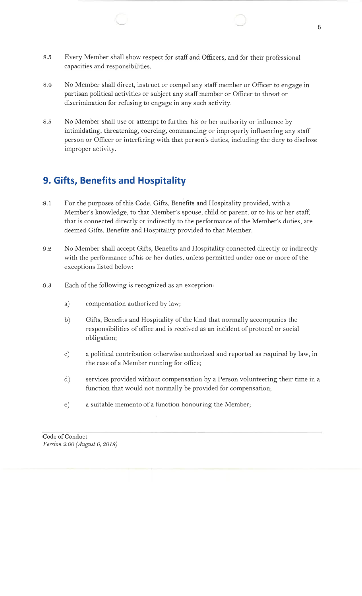- Every Member shall show respect for staffand Officers, and for their professionalcapacities and responsibilities.8.3
- No Member shall direct, instruct or compel any staff member or Officer to engage in partisan political activities or subject any staff member or Officer to threat or discrimination for refusing to engage in any such activity.8.4
- 8.5 No Member shall use or attempt to further his or her authority or influence by intimidating, threatening, coercing, commanding or improperly influencing any staff person or Officer or interfering with that person's duties, including the duty to discloseimproper activity.

## 9. Gifts, Benefits and Hospitality

- For the purposes of this Code, Gifts, Benefits and Hospitaiity provided, with a Member's knowledge, to that Member's spouse, child or parent, or to his or her staff,that is connected directly or indirectly to the performance of the Member's duties, aredeemed Gifts, Benefits and Hospitality provided to that Member.9.1
- No Member shall accept Gifts, Benefits and Hospitality connected directly or indirectlywith the performance of his or her duties, unless permitted under one or more of theexceptions listed below:9.2
- 9.3 Each of the following is recognized as an exception:
	- a) compensation authorized by law;
	- b)Gifts, Benefits and Hospitality of the kind that normally accompanies the responsibilities of office and is received as an incident of protocol or social obligation;
	- c)a political contribution otherwise authorized and reported as required by law, inthe case of a Member running for office;
	- d)services provided without compensation by a Person volunteering their time in afunction that would not normally be provided for compensation;
	- e) a suitable memento of a function honouring the Member;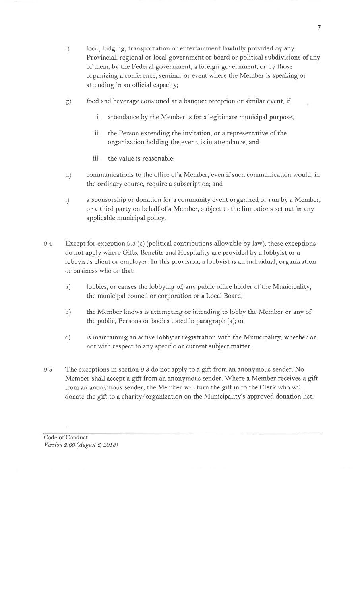- r) food, lodging, transportation or entertainment lawfully provided by any Provincial, regional or local government or board or political subdivisions of any of them, by the Federal government, a foreign government, or by those organizing a conference, seminar or event where the Member is speaking or attending in an official capacity;
- g) food and beverage consumed at a banquet reception or similar event, if:
	- i. attendance by the Member is for a legitimate municipal purpose;
	- the Person extending the invitation, or a representative of the organization holding the event, is in attendance; and ii.
	- iii. the value is reasonable;
- h) communications to the office of a Member, even if such communication would, in the ordinary course, require a subscription; and
- i) a sponsorship or donation for a community event organized or run by a Member, or a third party on behalf of a Member, subject to the limitations set out in any applicable municipal policy.
- 9.4 Except for exception 9.3 (c) (political contributions allowable by law), these exceptions do not apply where Gifts, Benefits and Hospitality are provided by a lobbyist or a lobbyist's client or employer. In this provision, a lobbyist is an individual, organization or business who or that:
	- a) lobbies, or causes the lobbying of, any public office holder of the Municipality, the municipal council or corporation or a Local Board;
	- b) the Member knows is attempting or intending to lobby the Member or any of the public, Persons or bodies listed in paragraph (a); or
	- c) is maintaining an active lobbyist registration with the Municipality, whether or not with respect to any specific or current subject matter.
- 9.5 The exceptions in section 9.3 do not apply to a gift from an anonymous sender. No Member shall accept a gift from an anonymous sender. Where a Member receives a gift from an anonymous sender, the Member will turn the gift in to the Clerk who will donate the gift to a charity/organization on the Municipality's approved donation list.

Code of Conduct Version 2.OO (August 6, 2OI s)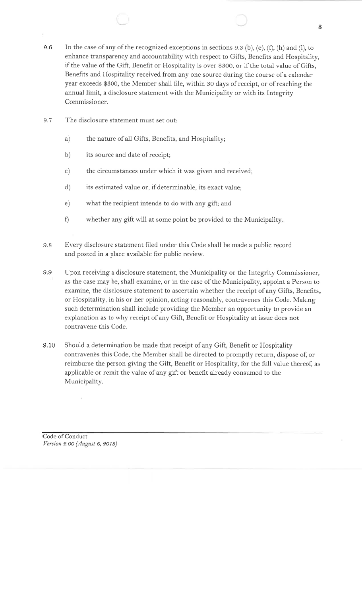- 9.6In the case of any of the recognized exceptions in sections  $9.3$  (b), (e), (f), (h) and (i), to enhance transparency and accountability with respect to Gifts, Benefits and Hospitality, if the value of the Gift, Benefit or Hospitality is over g3oo, or if the total value of Gifts,Benefits and Hospitality received from any one source during the course of a calendar year exceeds \$30o, the Member shall file, within 30 days of receipt, or of reaching theannual limit, a disclosure statement with the Municipality or with its IntegrityCommissioner.
- 9.7 The disclosure statement must set out:
	- a)the nature of all Gifts, Benefits, and Hospitality;
	- b)its source and date of receipt;
	- c)the circumstances under which it was given and received;
	- d)its estimated value or, if determinable, its exact value;
	- e)what the recipient intends to do with any gift; and
	- f)whether any gift will at some point be provided to the Municipality
- 9.8Every disclosure statement filed under this Code shall be made a public recordand posted in a place available for public review.
- 9.9Upon receiving a disclosure statement, the Municipality or the Integrity Commissioner,as the case may be, shail examine, or in the case of the Municipality, appoint a Person to examine, the disclosure statement to ascertain whether the receipt of any Gifts, Benefits,or Hospitality, in his or her opinion, acting reasonably, contravenes this Code. Making such determination shall include providing the Member an opportunity to provide anexplanation as to why receipt of any Gift, Benefit or Hospitality at issue does notcontravene this Code.
- 9.10Should a determination be made that receipt of any Gift, Benefit or Hospitality contravenes this Code, the Member shall be directed to promptly return, dispose of, or reimburse the person giving the Gift, Benefit or Hospitality, for the full value thereof, asapplicable or remit the value of any gift or benefit already consumed to theMunicipality.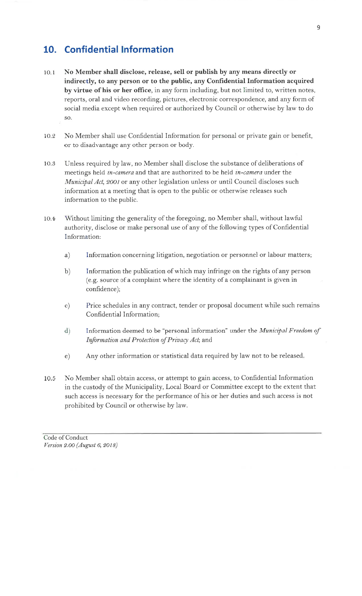#### 10. Confidential lnformation

- No Member shall disclose, release, sell or publish by any means directly or indirectly, to any person or to the public, any Confidential Information acquired by virtue of his or her office, in any form including, but not limited to, written notes, reports, oral and video recording, pictures, electronic correspondence, and any form of social media except when required or authorized by Council or otherwise by law to do so. 10.1
- 10.2 No Member shall use Confidential Information for personal or private gain or benefit, or to disadvantage any other person or body.
- 10.3 Unless required by law, no Member shall disclose the substance of deliberations of meetings held in-camera and that are authorized to be held in-camera under the Municipal Act, 2001 or any other legislation unless or until Council discloses such information at a meeting that is open to the public or otherwise releases such information to the public.
- 1o.4 Without limiting the generality of the foregoing, no Member shall, without lawful authority, disclose or make personal use of any of the following types of Confidential Information:
	- a) Information concerning litigation, negotiation or personnel or labour matters;
	- b) Information the publication of which may infringe on the rights of any person (e.g. source of a complaint where the identity of a complainant is given in confidence);
	- c) Price schedules in any contract, tender or proposal document while such remains Confidential Information;
	- d) Information deemed to be "personal information" under the *Municipal Freedom of* Information and Protection of Privacy Act; and
	- e) Any other information or statistical data required by law not to be released
- No Member shall obtain access, or attempt to gain access, to Confidential Information in the custody of the Municipality, Local Board or Committee except to the extent that such access is necessary for the performance of his or her duties and such access is not prohibited by Council or otherwise by law. 10.5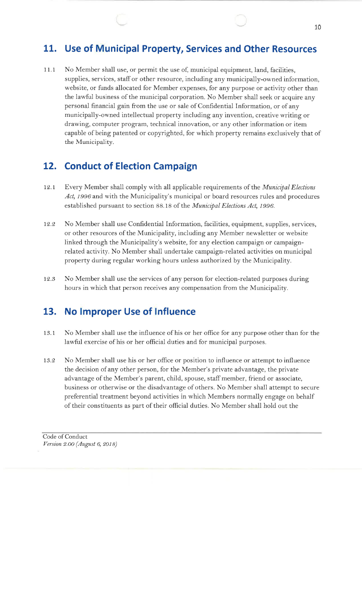#### 11. Use of Municipal Property, Services and Other Resources

No Member shall use, or permit the use of, municipal equipment, land, facilities,supplies, services, staff or other resource, including any municipally-owned information, website, or funds allocated for Member expenses, for any purpose or activity other than the lawful business of the municipal corporation. No Member shall seek or acquire anypersonal financial gain from the use or sale of Confidential Information, or of any municipally-owned intellectual property including any invention, creative writing ordrawing, computer program, technical innovation, or any other information or item capable of being patented or copyrighted, for which property remains exclusively that ofthe Municipality. $11.1$ 

#### 12. Conduct of Election Campaign

- L2.t Every Member shall comply with all applicable requirements of the Municipal ElectionsAct, 1996 and with the Municipality's municipal or board resources rules and procedures established pursuant to section 88.18 of the Municipal Elections Act, 1996.
- 12.2 No Member shall use Confidential Information, facilities, equipment, supplies, services, or other resources of the Municipality, including any Member newsletter or websitelinked through the Municipality's website, for any election campaign or campaignrelated activity. No Member shall undertake campaign-related activities on municipalproperty during regular working hours unless authorized by the Municipality.
- 12.3 No Member shall use the services of any person for election-related purposes duringhours in which that person receives any compensation from the Municipality.

#### 13. No lmproper Use of lnfluence

- 13. I No Member shall use the influence of his or her office for any purpose other than for thelawful exercise of his or her official duties and for municipal purposes.
- 13.2 No Member shall use his or her oflice or position to influence or attempt to influencethe decision of any other person, for the Member's private advantage, the privateadvantage of the Member's parent, child, spouse, staff member, friend or associate, business or otherwise or the disadvantage of others. No Member shall attempt to securepreferential treatment beyond activities in which Members normally engage on behalfof their constituents as part of their official duties. No Member shall hold out the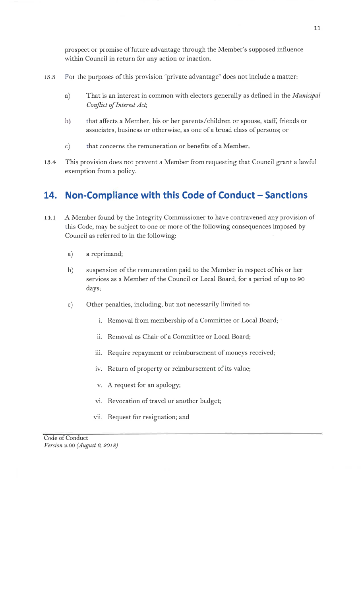prospect or promise of future advantage through the Member's supposed influence within Council in return for any action or inaction.

- 13.3 For the purposes of this provision "private advantage" does not include a matter:
	- a) That is an interest in common with electors generally as defined in the *Municipal* Conflict of Interest Act;
	- b) that affects a Member, his or her parents/children or spouse, staff, friends or associates, business or otherwise, as one of a broad class of persons; or
	- c) that concerns the remuneration or benefits of a Member.
- 13.4 This provision does not prevent a Member from requesting that Council grant a lawful exemption from a policy.

## 14. Non-Compliance with this Code of Conduct - Sanctions

- <sup>A</sup>Member found by the Integrity Commissioner to have contravened any provision of this Code, may be subject to one or more of the following consequences imposed by Council as referred to in the following: 14,.1
	- a) a reprimand;
	- b) suspension of the remuneration paid to the Member in respect of his or her services as a Member of the Council or Local Board, for a period of up to <sup>90</sup> days;
	- c) Other penalties, including, but not necessarily limited to:
		- i. Removal from membership of a Committee or Local Board;
		- ii. Removal as Chair of a Committee or Local Board;
		- iii. Require repayment or reimbursement of moneys received;
		- iv. Return of property or reimbursement of its value;
		- v. A request for an apology;
		- vi. Revocation of travel or another budget;
		- vii. Request for resignation; and

1,1

Code of Conduct Version 9.oo (August 6,2o18)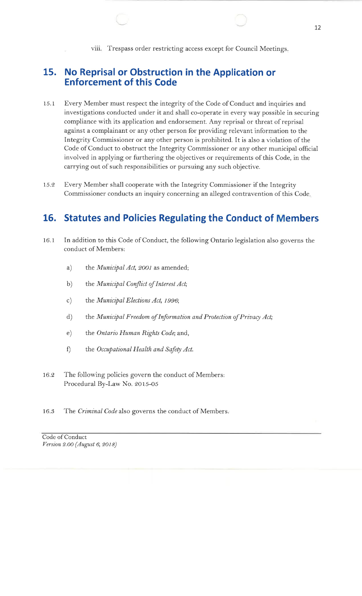viii. Trespass order restricting access except for Council Meetings

#### 15. No Reprisal or Obstruction in the Application orEnforcement of this Code

- 15.1 Every Member must respect the integrity of the Code of Conduct and inquiries and investigations conducted under it and shall co-operate in every way possible in securingcompliance with its application and endorsement. Any reprisal or threat of reprisalagainst a complainant or any other person for providing relevant information to the Integrity Commissioner or any other person is prohibited. It is also a violation of the Code of Conduct to obstruct the Integrity Commissioner or any other municipal officialinvolved in applying or furthering the objectives or requirements of this Code, in thecarrying out of such responsibilities or pursuing any such objective.
- 15.2 Every Member shall cooperate with the Integrity Commissioner if the IntegrityCommissioner conducts an inquiry concerning an alleged contravention of this Code

#### 16. Statutes and Policies Regulating the Conduct of Members

- $16.1$  In addition to this Code of Conduct, the following Ontario legislation also governs theconduct of Members:
	- a) the Municipal Act, 2001 as amended;
	- b) the Municipal Conflict of Interest Act;
	- c) the Municipal Elections Act, 1996;
	- d) the Municipal Freedom of Information and Protection of Privacy Act;
	- e) the *Ontario Human Rights Code*; and,
	- f) the Occupational Health and Safety Act.
- 16.2 The following policies govern the conduct of Members: Procedural By-Law No. 2015-05
- 16.3 The Criminal Code also governs the conduct of Members.